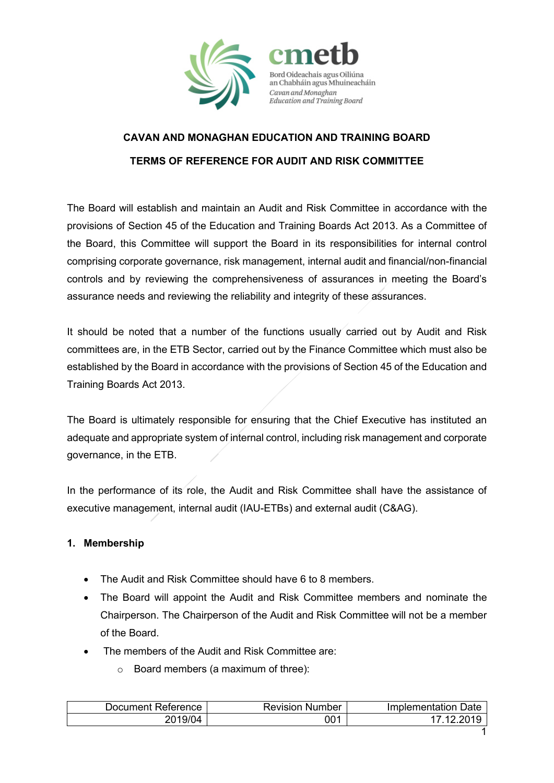



# **CAVAN AND MONAGHAN EDUCATION AND TRAINING BOARD TERMS OF REFERENCE FOR AUDIT AND RISK COMMITTEE**

The Board will establish and maintain an Audit and Risk Committee in accordance with the provisions of Section 45 of the Education and Training Boards Act 2013. As a Committee of the Board, this Committee will support the Board in its responsibilities for internal control comprising corporate governance, risk management, internal audit and financial/non-financial controls and by reviewing the comprehensiveness of assurances in meeting the Board's assurance needs and reviewing the reliability and integrity of these assurances.

It should be noted that a number of the functions usually carried out by Audit and Risk committees are, in the ETB Sector, carried out by the Finance Committee which must also be established by the Board in accordance with the provisions of Section 45 of the Education and Training Boards Act 2013.

The Board is ultimately responsible for ensuring that the Chief Executive has instituted an adequate and appropriate system of internal control, including risk management and corporate governance, in the ETB.

In the performance of its role, the Audit and Risk Committee shall have the assistance of executive management, internal audit (IAU-ETBs) and external audit (C&AG).

## **1. Membership**

- The Audit and Risk Committee should have 6 to 8 members.
- The Board will appoint the Audit and Risk Committee members and nominate the Chairperson. The Chairperson of the Audit and Risk Committee will not be a member of the Board.
- The members of the Audit and Risk Committee are:
	- o Board members (a maximum of three):

| ⊃ocument Reterence_ | ⊀evision<br>Number | Implementation Date |
|---------------------|--------------------|---------------------|
| 2019/04             | 001                | -201<br>$\sqrt{2}$  |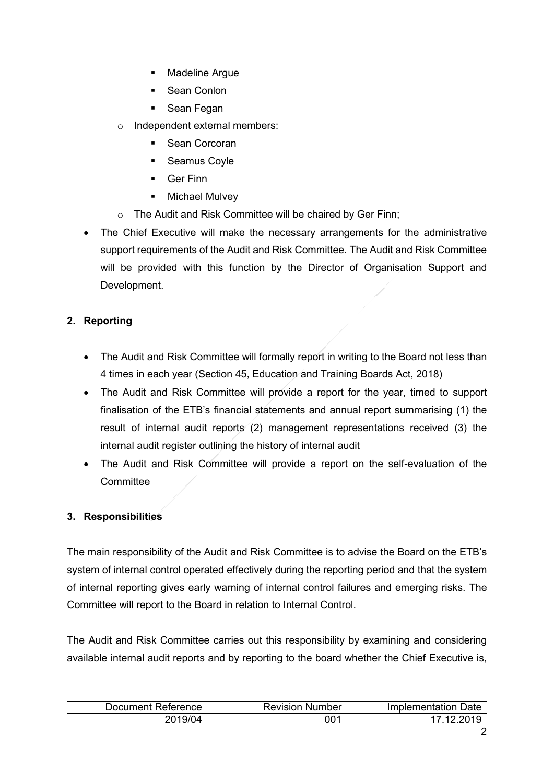- **Madeline Argue**
- **Sean Conlon**
- **Sean Fegan**
- o Independent external members:
	- **Sean Corcoran**
	- **Seamus Coyle**
	- Ger Finn
	- **Nichael Mulvey**
- o The Audit and Risk Committee will be chaired by Ger Finn;
- The Chief Executive will make the necessary arrangements for the administrative support requirements of the Audit and Risk Committee. The Audit and Risk Committee will be provided with this function by the Director of Organisation Support and Development.

# **2. Reporting**

- The Audit and Risk Committee will formally report in writing to the Board not less than 4 times in each year (Section 45, Education and Training Boards Act, 2018)
- The Audit and Risk Committee will provide a report for the year, timed to support finalisation of the ETB's financial statements and annual report summarising (1) the result of internal audit reports (2) management representations received (3) the internal audit register outlining the history of internal audit
- The Audit and Risk Committee will provide a report on the self-evaluation of the **Committee**

## **3. Responsibilities**

The main responsibility of the Audit and Risk Committee is to advise the Board on the ETB's system of internal control operated effectively during the reporting period and that the system of internal reporting gives early warning of internal control failures and emerging risks. The Committee will report to the Board in relation to Internal Control.

The Audit and Risk Committee carries out this responsibility by examining and considering available internal audit reports and by reporting to the board whether the Chief Executive is,

| Reference  | Revision | Date           |
|------------|----------|----------------|
| Jocument - | Number   | Implementation |
| 2019/04    | 001      |                |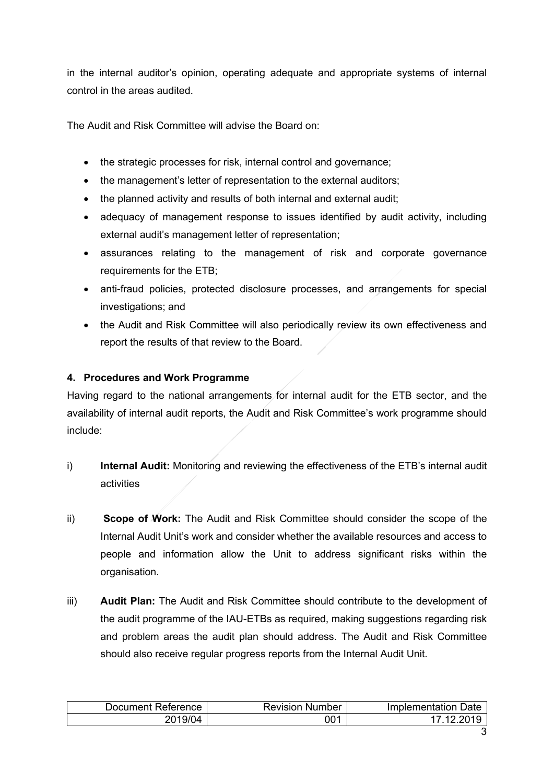in the internal auditor's opinion, operating adequate and appropriate systems of internal control in the areas audited.

The Audit and Risk Committee will advise the Board on:

- the strategic processes for risk, internal control and governance;
- the management's letter of representation to the external auditors;
- the planned activity and results of both internal and external audit;
- adequacy of management response to issues identified by audit activity, including external audit's management letter of representation;
- assurances relating to the management of risk and corporate governance requirements for the ETB;
- anti-fraud policies, protected disclosure processes, and arrangements for special investigations; and
- the Audit and Risk Committee will also periodically review its own effectiveness and report the results of that review to the Board.

## **4. Procedures and Work Programme**

Having regard to the national arrangements for internal audit for the ETB sector, and the availability of internal audit reports, the Audit and Risk Committee's work programme should include:

- i) **Internal Audit:** Monitoring and reviewing the effectiveness of the ETB's internal audit activities
- ii) **Scope of Work:** The Audit and Risk Committee should consider the scope of the Internal Audit Unit's work and consider whether the available resources and access to people and information allow the Unit to address significant risks within the organisation.
- iii) **Audit Plan:** The Audit and Risk Committee should contribute to the development of the audit programme of the IAU-ETBs as required, making suggestions regarding risk and problem areas the audit plan should address. The Audit and Risk Committee should also receive regular progress reports from the Internal Audit Unit.

| Document Reference | Revision<br>Number | Date<br>Implementation |
|--------------------|--------------------|------------------------|
| 2019/04            | 001                |                        |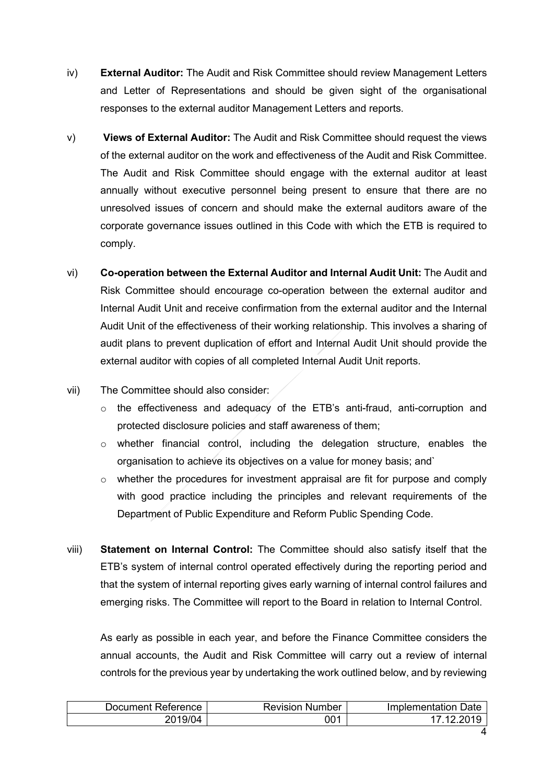- iv) **External Auditor:** The Audit and Risk Committee should review Management Letters and Letter of Representations and should be given sight of the organisational responses to the external auditor Management Letters and reports.
- v) **Views of External Auditor:** The Audit and Risk Committee should request the views of the external auditor on the work and effectiveness of the Audit and Risk Committee. The Audit and Risk Committee should engage with the external auditor at least annually without executive personnel being present to ensure that there are no unresolved issues of concern and should make the external auditors aware of the corporate governance issues outlined in this Code with which the ETB is required to comply.
- vi) **Co-operation between the External Auditor and Internal Audit Unit:** The Audit and Risk Committee should encourage co-operation between the external auditor and Internal Audit Unit and receive confirmation from the external auditor and the Internal Audit Unit of the effectiveness of their working relationship. This involves a sharing of audit plans to prevent duplication of effort and Internal Audit Unit should provide the external auditor with copies of all completed Internal Audit Unit reports.
- vii) The Committee should also consider:
	- $\circ$  the effectiveness and adequacy of the ETB's anti-fraud, anti-corruption and protected disclosure policies and staff awareness of them;
	- $\circ$  whether financial control, including the delegation structure, enables the organisation to achieve its objectives on a value for money basis; and`
	- $\circ$  whether the procedures for investment appraisal are fit for purpose and comply with good practice including the principles and relevant requirements of the Department of Public Expenditure and Reform Public Spending Code.
- viii) **Statement on Internal Control:** The Committee should also satisfy itself that the ETB's system of internal control operated effectively during the reporting period and that the system of internal reporting gives early warning of internal control failures and emerging risks. The Committee will report to the Board in relation to Internal Control.

As early as possible in each year, and before the Finance Committee considers the annual accounts, the Audit and Risk Committee will carry out a review of internal controls for the previous year by undertaking the work outlined below, and by reviewing

| Document Reference | <b>Revision Number</b> | Implementation Date |
|--------------------|------------------------|---------------------|
| 2019/04            | 001                    | ∍2∩1ພ<br>- 10-      |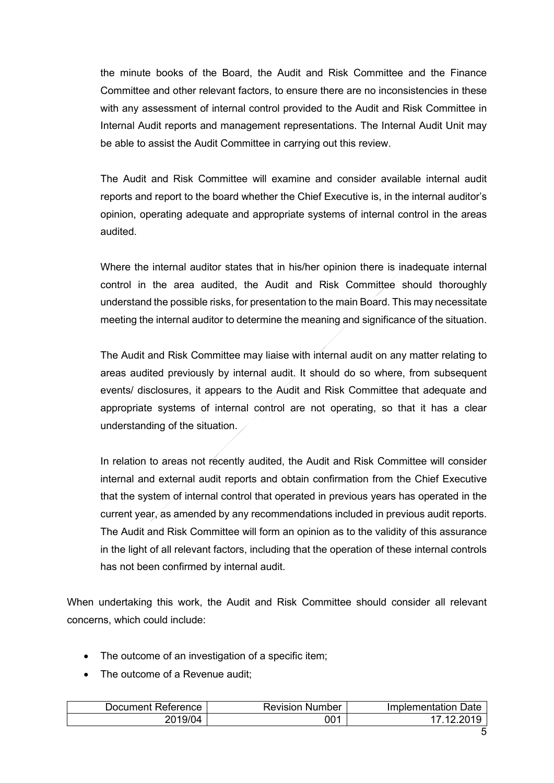the minute books of the Board, the Audit and Risk Committee and the Finance Committee and other relevant factors, to ensure there are no inconsistencies in these with any assessment of internal control provided to the Audit and Risk Committee in Internal Audit reports and management representations. The Internal Audit Unit may be able to assist the Audit Committee in carrying out this review.

The Audit and Risk Committee will examine and consider available internal audit reports and report to the board whether the Chief Executive is, in the internal auditor's opinion, operating adequate and appropriate systems of internal control in the areas audited.

Where the internal auditor states that in his/her opinion there is inadequate internal control in the area audited, the Audit and Risk Committee should thoroughly understand the possible risks, for presentation to the main Board. This may necessitate meeting the internal auditor to determine the meaning and significance of the situation.

The Audit and Risk Committee may liaise with internal audit on any matter relating to areas audited previously by internal audit. It should do so where, from subsequent events/ disclosures, it appears to the Audit and Risk Committee that adequate and appropriate systems of internal control are not operating, so that it has a clear understanding of the situation.

In relation to areas not recently audited, the Audit and Risk Committee will consider internal and external audit reports and obtain confirmation from the Chief Executive that the system of internal control that operated in previous years has operated in the current year, as amended by any recommendations included in previous audit reports. The Audit and Risk Committee will form an opinion as to the validity of this assurance in the light of all relevant factors, including that the operation of these internal controls has not been confirmed by internal audit.

When undertaking this work, the Audit and Risk Committee should consider all relevant concerns, which could include:

- The outcome of an investigation of a specific item;
- The outcome of a Revenue audit:

| Document Reference | Revision<br>Number | Implementation Date |
|--------------------|--------------------|---------------------|
| 2019/04            | 001                | -201<br>- 1 つ       |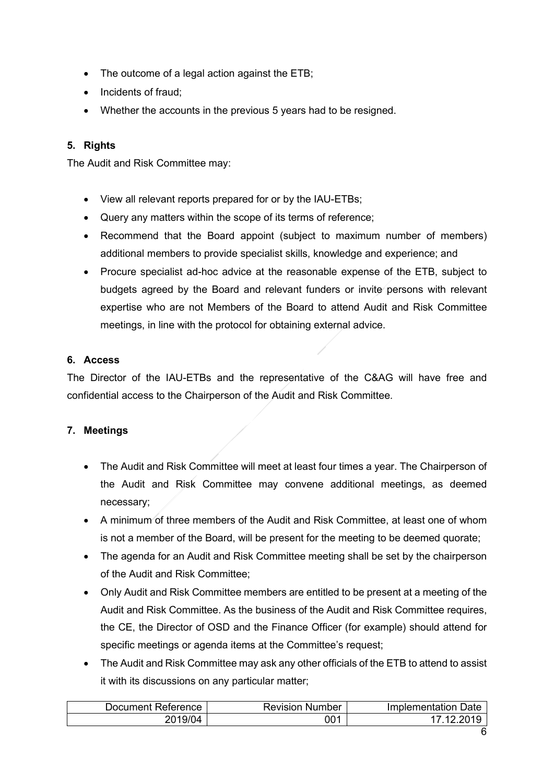- The outcome of a legal action against the ETB;
- Incidents of fraud;
- Whether the accounts in the previous 5 years had to be resigned.

# **5. Rights**

The Audit and Risk Committee may:

- View all relevant reports prepared for or by the IAU-ETBs;
- Query any matters within the scope of its terms of reference;
- Recommend that the Board appoint (subject to maximum number of members) additional members to provide specialist skills, knowledge and experience; and
- Procure specialist ad-hoc advice at the reasonable expense of the ETB, subject to budgets agreed by the Board and relevant funders or invite persons with relevant expertise who are not Members of the Board to attend Audit and Risk Committee meetings, in line with the protocol for obtaining external advice.

#### **6. Access**

The Director of the IAU-ETBs and the representative of the C&AG will have free and confidential access to the Chairperson of the Audit and Risk Committee.

## **7. Meetings**

- The Audit and Risk Committee will meet at least four times a year. The Chairperson of the Audit and Risk Committee may convene additional meetings, as deemed necessary;
- A minimum of three members of the Audit and Risk Committee, at least one of whom is not a member of the Board, will be present for the meeting to be deemed quorate;
- The agenda for an Audit and Risk Committee meeting shall be set by the chairperson of the Audit and Risk Committee;
- Only Audit and Risk Committee members are entitled to be present at a meeting of the Audit and Risk Committee. As the business of the Audit and Risk Committee requires, the CE, the Director of OSD and the Finance Officer (for example) should attend for specific meetings or agenda items at the Committee's request;
- The Audit and Risk Committee may ask any other officials of the ETB to attend to assist it with its discussions on any particular matter;

| Document Reference_ | <b>Revision Number</b> | Implementation Date |
|---------------------|------------------------|---------------------|
| 2019/04             | 001                    | 7 12 2010           |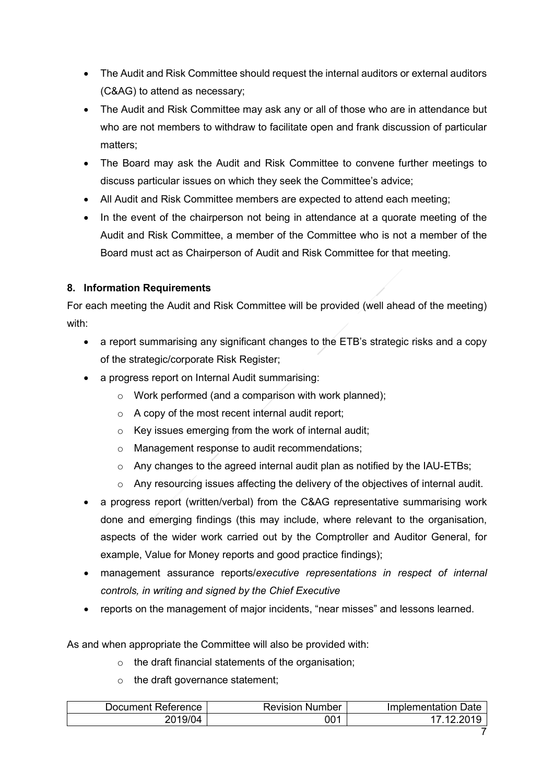- The Audit and Risk Committee should request the internal auditors or external auditors (C&AG) to attend as necessary;
- The Audit and Risk Committee may ask any or all of those who are in attendance but who are not members to withdraw to facilitate open and frank discussion of particular matters;
- The Board may ask the Audit and Risk Committee to convene further meetings to discuss particular issues on which they seek the Committee's advice;
- All Audit and Risk Committee members are expected to attend each meeting;
- In the event of the chairperson not being in attendance at a quorate meeting of the Audit and Risk Committee, a member of the Committee who is not a member of the Board must act as Chairperson of Audit and Risk Committee for that meeting.

# **8. Information Requirements**

For each meeting the Audit and Risk Committee will be provided (well ahead of the meeting) with:

- a report summarising any significant changes to the ETB's strategic risks and a copy of the strategic/corporate Risk Register;
- a progress report on Internal Audit summarising:
	- $\circ$  Work performed (and a comparison with work planned);
	- $\circ$  A copy of the most recent internal audit report:
	- o Key issues emerging from the work of internal audit;
	- o Management response to audit recommendations;
	- o Any changes to the agreed internal audit plan as notified by the IAU-ETBs;
	- o Any resourcing issues affecting the delivery of the objectives of internal audit.
- a progress report (written/verbal) from the C&AG representative summarising work done and emerging findings (this may include, where relevant to the organisation, aspects of the wider work carried out by the Comptroller and Auditor General, for example, Value for Money reports and good practice findings);
- management assurance reports/*executive representations in respect of internal controls, in writing and signed by the Chief Executive*
- reports on the management of major incidents, "near misses" and lessons learned.

As and when appropriate the Committee will also be provided with:

- $\circ$  the draft financial statements of the organisation;
- o the draft governance statement;

| Document Reterence∶ | Revision<br>Number | Jate<br>Implementation |
|---------------------|--------------------|------------------------|
| 2019/04             | 001                |                        |